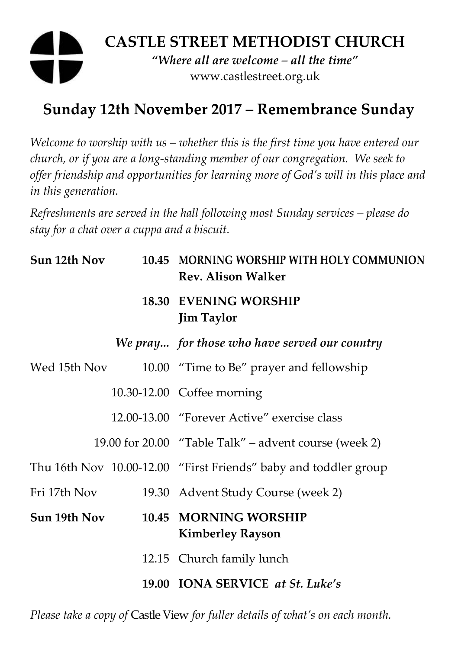# **CASTLE STREET METHODIST CHURCH**  *"Where all are welcome – all the time"*  www.castlestreet.org.uk

## **Sunday 12th November 2017 – Remembrance Sunday**

*Welcome to worship with us – whether this is the first time you have entered our church, or if you are a long-standing member of our congregation. We seek to offer friendship and opportunities for learning more of God's will in this place and in this generation.* 

*Refreshments are served in the hall following most Sunday services – please do stay for a chat over a cuppa and a biscuit.* 

| Sun 12th Nov | 10.45 MORNING WORSHIP WITH HOLY COMMUNION<br><b>Rev. Alison Walker</b> |
|--------------|------------------------------------------------------------------------|
|              | <b>18.30 EVENING WORSHIP</b><br><b>Jim Taylor</b>                      |
|              | We pray for those who have served our country                          |
| Wed 15th Nov | 10.00 "Time to Be" prayer and fellowship                               |
|              | 10.30-12.00 Coffee morning                                             |
|              | 12.00-13.00 "Forever Active" exercise class                            |
|              | 19.00 for 20.00 "Table Talk" – advent course (week 2)                  |
|              | Thu 16th Nov 10.00-12.00 "First Friends" baby and toddler group        |
| Fri 17th Nov | 19.30 Advent Study Course (week 2)                                     |
| Sun 19th Nov | 10.45 MORNING WORSHIP<br><b>Kimberley Rayson</b>                       |
|              | 12.15 Church family lunch                                              |
|              | 19.00 IONA SERVICE at St. Luke's                                       |

*Please take a copy of* Castle View *for fuller details of what's on each month.*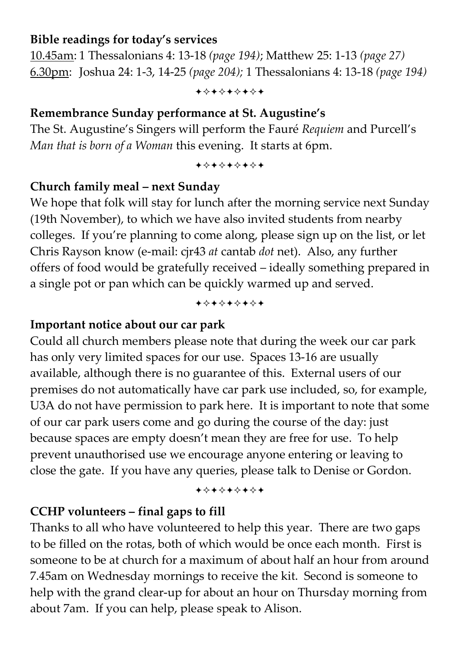#### **Bible readings for today's services**

10.45am: 1 Thessalonians 4: 13-18 *(page 194)*; Matthew 25: 1-13 *(page 27)*  6.30pm: Joshua 24: 1-3, 14-25 *(page 204);* 1 Thessalonians 4: 13-18 *(page 194)*

+\*\*\*\*\*\*\*

### **Remembrance Sunday performance at St. Augustine's**

The St. Augustine's Singers will perform the Fauré *Requiem* and Purcell's *Man that is born of a Woman* this evening. It starts at 6pm.

+\*\*\*\*\*\*\*

### **Church family meal – next Sunday**

We hope that folk will stay for lunch after the morning service next Sunday (19th November), to which we have also invited students from nearby colleges. If you're planning to come along, please sign up on the list, or let Chris Rayson know (e-mail: cjr43 *at* cantab *dot* net). Also, any further offers of food would be gratefully received – ideally something prepared in a single pot or pan which can be quickly warmed up and served.

-----

#### **Important notice about our car park**

Could all church members please note that during the week our car park has only very limited spaces for our use. Spaces 13-16 are usually available, although there is no guarantee of this. External users of our premises do not automatically have car park use included, so, for example, U3A do not have permission to park here. It is important to note that some of our car park users come and go during the course of the day: just because spaces are empty doesn't mean they are free for use. To help prevent unauthorised use we encourage anyone entering or leaving to close the gate. If you have any queries, please talk to Denise or Gordon.

#### +\*\*\*\*\*\*\*

## **CCHP volunteers – final gaps to fill**

Thanks to all who have volunteered to help this year. There are two gaps to be filled on the rotas, both of which would be once each month. First is someone to be at church for a maximum of about half an hour from around 7.45am on Wednesday mornings to receive the kit. Second is someone to help with the grand clear-up for about an hour on Thursday morning from about 7am. If you can help, please speak to Alison.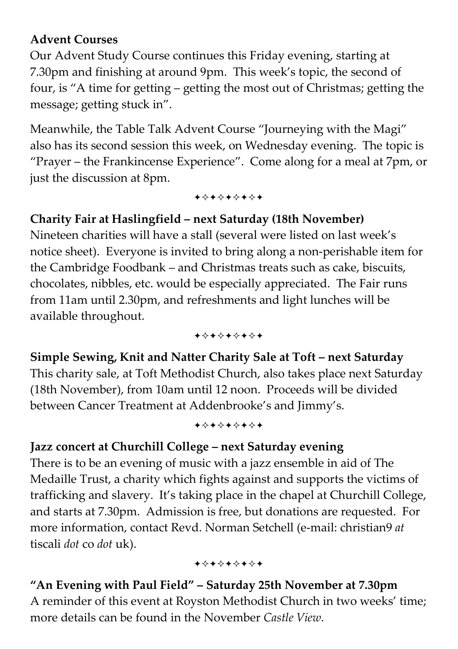## **Advent Courses**

Our Advent Study Course continues this Friday evening, starting at 7.30pm and finishing at around 9pm. This week's topic, the second of four, is "A time for getting – getting the most out of Christmas; getting the message; getting stuck in".

Meanwhile, the Table Talk Advent Course "Journeying with the Magi" also has its second session this week, on Wednesday evening. The topic is "Prayer – the Frankincense Experience". Come along for a meal at 7pm, or just the discussion at 8pm.

+\*\*\*\*\*\*\*

## **Charity Fair at Haslingfield – next Saturday (18th November)**

Nineteen charities will have a stall (several were listed on last week's notice sheet). Everyone is invited to bring along a non-perishable item for the Cambridge Foodbank – and Christmas treats such as cake, biscuits, chocolates, nibbles, etc. would be especially appreciated. The Fair runs from 11am until 2.30pm, and refreshments and light lunches will be available throughout.

+\*\*\*\*\*\*\*

**Simple Sewing, Knit and Natter Charity Sale at Toft – next Saturday**  This charity sale, at Toft Methodist Church, also takes place next Saturday (18th November), from 10am until 12 noon. Proceeds will be divided between Cancer Treatment at Addenbrooke's and Jimmy's.

#### +\*\*\*\*\*\*\*

### **Jazz concert at Churchill College – next Saturday evening**

There is to be an evening of music with a jazz ensemble in aid of The Medaille Trust, a charity which fights against and supports the victims of trafficking and slavery. It's taking place in the chapel at Churchill College, and starts at 7.30pm. Admission is free, but donations are requested. For more information, contact Revd. Norman Setchell (e-mail: christian9 *at* tiscali *dot* co *dot* uk).

#### +\*\*\*\*\*\*\*

**"An Evening with Paul Field" – Saturday 25th November at 7.30pm**  A reminder of this event at Royston Methodist Church in two weeks' time; more details can be found in the November *Castle View*.